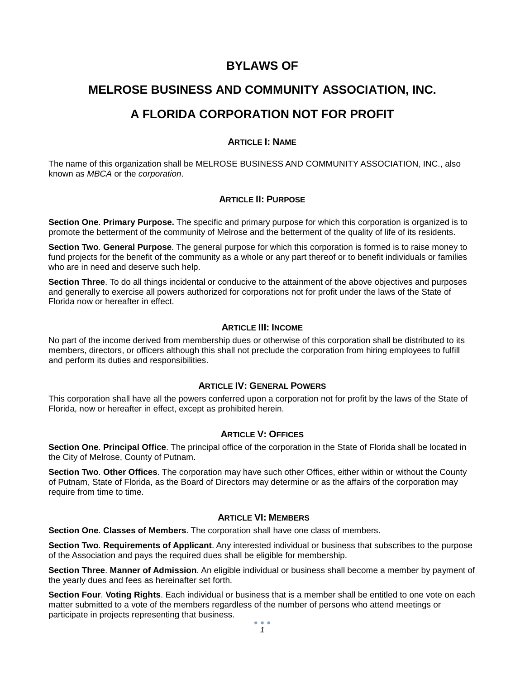# **BYLAWS OF**

# **MELROSE BUSINESS AND COMMUNITY ASSOCIATION, INC.**

# **A FLORIDA CORPORATION NOT FOR PROFIT**

# **ARTICLE I: NAME**

The name of this organization shall be MELROSE BUSINESS AND COMMUNITY ASSOCIATION, INC., also known as *MBCA* or the *corporation*.

#### **ARTICLE II: PURPOSE**

**Section One**. **Primary Purpose.** The specific and primary purpose for which this corporation is organized is to promote the betterment of the community of Melrose and the betterment of the quality of life of its residents.

**Section Two**. **General Purpose**. The general purpose for which this corporation is formed is to raise money to fund projects for the benefit of the community as a whole or any part thereof or to benefit individuals or families who are in need and deserve such help.

**Section Three**. To do all things incidental or conducive to the attainment of the above objectives and purposes and generally to exercise all powers authorized for corporations not for profit under the laws of the State of Florida now or hereafter in effect.

#### **ARTICLE III: INCOME**

No part of the income derived from membership dues or otherwise of this corporation shall be distributed to its members, directors, or officers although this shall not preclude the corporation from hiring employees to fulfill and perform its duties and responsibilities.

# **ARTICLE IV: GENERAL POWERS**

This corporation shall have all the powers conferred upon a corporation not for profit by the laws of the State of Florida, now or hereafter in effect, except as prohibited herein.

#### **ARTICLE V: OFFICES**

**Section One**. **Principal Office**. The principal office of the corporation in the State of Florida shall be located in the City of Melrose, County of Putnam.

**Section Two**. **Other Offices**. The corporation may have such other Offices, either within or without the County of Putnam, State of Florida, as the Board of Directors may determine or as the affairs of the corporation may require from time to time.

#### **ARTICLE VI: MEMBERS**

**Section One**. **Classes of Members**. The corporation shall have one class of members.

**Section Two**. **Requirements of Applicant**. Any interested individual or business that subscribes to the purpose of the Association and pays the required dues shall be eligible for membership.

**Section Three**. **Manner of Admission**. An eligible individual or business shall become a member by payment of the yearly dues and fees as hereinafter set forth.

**Section Four**. **Voting Rights**. Each individual or business that is a member shall be entitled to one vote on each matter submitted to a vote of the members regardless of the number of persons who attend meetings or participate in projects representing that business.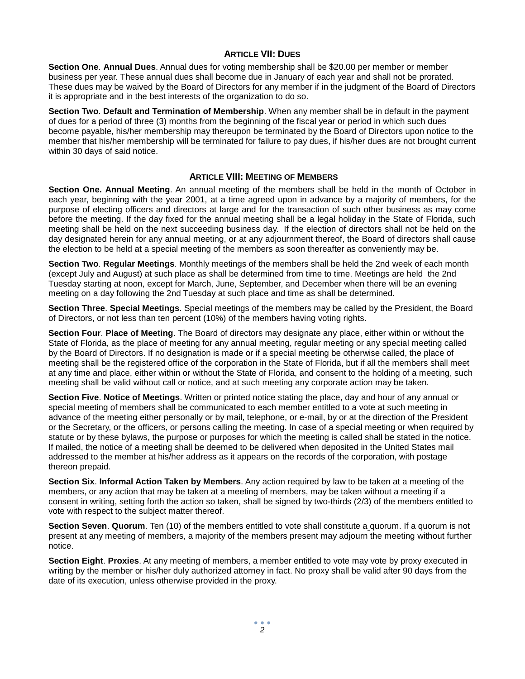#### **ARTICLE VII: DUES**

**Section One**. **Annual Dues**. Annual dues for voting membership shall be \$20.00 per member or member business per year. These annual dues shall become due in January of each year and shall not be prorated. These dues may be waived by the Board of Directors for any member if in the judgment of the Board of Directors it is appropriate and in the best interests of the organization to do so.

**Section Two**. **Default and Termination of Membership**. When any member shall be in default in the payment of dues for a period of three (3) months from the beginning of the fiscal year or period in which such dues become payable, his/her membership may thereupon be terminated by the Board of Directors upon notice to the member that his/her membership will be terminated for failure to pay dues, if his/her dues are not brought current within 30 days of said notice.

#### **ARTICLE VIII: MEETING OF MEMBERS**

**Section One. Annual Meeting**. An annual meeting of the members shall be held in the month of October in each year, beginning with the year 2001, at a time agreed upon in advance by a majority of members, for the purpose of electing officers and directors at large and for the transaction of such other business as may come before the meeting. If the day fixed for the annual meeting shall be a legal holiday in the State of Florida, such meeting shall be held on the next succeeding business day. If the election of directors shall not be held on the day designated herein for any annual meeting, or at any adjournment thereof, the Board of directors shall cause the election to be held at a special meeting of the members as soon thereafter as conveniently may be.

**Section Two**. **Regular Meetings**. Monthly meetings of the members shall be held the 2nd week of each month (except July and August) at such place as shall be determined from time to time. Meetings are held the 2nd Tuesday starting at noon, except for March, June, September, and December when there will be an evening meeting on a day following the 2nd Tuesday at such place and time as shall be determined.

**Section Three**. **Special Meetings**. Special meetings of the members may be called by the President, the Board of Directors, or not less than ten percent (10%) of the members having voting rights.

**Section Four**. **Place of Meeting**. The Board of directors may designate any place, either within or without the State of Florida, as the place of meeting for any annual meeting, regular meeting or any special meeting called by the Board of Directors. If no designation is made or if a special meeting be otherwise called, the place of meeting shall be the registered office of the corporation in the State of Florida, but if all the members shall meet at any time and place, either within or without the State of Florida, and consent to the holding of a meeting, such meeting shall be valid without call or notice, and at such meeting any corporate action may be taken.

**Section Five**. **Notice of Meetings**. Written or printed notice stating the place, day and hour of any annual or special meeting of members shall be communicated to each member entitled to a vote at such meeting in advance of the meeting either personally or by mail, telephone, or e-mail, by or at the direction of the President or the Secretary, or the officers, or persons calling the meeting. In case of a special meeting or when required by statute or by these bylaws, the purpose or purposes for which the meeting is called shall be stated in the notice. If mailed, the notice of a meeting shall be deemed to be delivered when deposited in the United States mail addressed to the member at his/her address as it appears on the records of the corporation, with postage thereon prepaid.

**Section Six**. **Informal Action Taken by Members**. Any action required by law to be taken at a meeting of the members, or any action that may be taken at a meeting of members, may be taken without a meeting if a consent in writing, setting forth the action so taken, shall be signed by two-thirds (2/3) of the members entitled to vote with respect to the subject matter thereof.

**Section Seven**. **Quorum**. Ten (10) of the members entitled to vote shall constitute a quorum. If a quorum is not present at any meeting of members, a majority of the members present may adjourn the meeting without further notice.

**Section Eight**. **Proxies**. At any meeting of members, a member entitled to vote may vote by proxy executed in writing by the member or his/her duly authorized attorney in fact. No proxy shall be valid after 90 days from the date of its execution, unless otherwise provided in the proxy.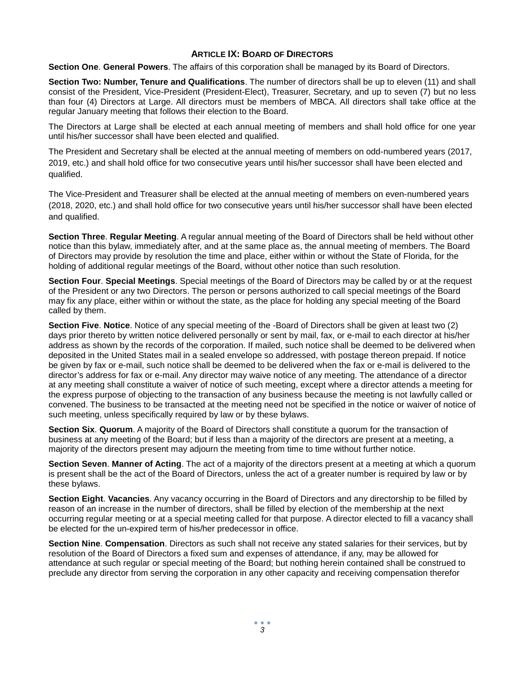#### **ARTICLE IX: BOARD OF DIRECTORS**

**Section One**. **General Powers**. The affairs of this corporation shall be managed by its Board of Directors.

**Section Two: Number, Tenure and Qualifications**. The number of directors shall be up to eleven (11) and shall consist of the President, Vice-President (President-Elect), Treasurer, Secretary, and up to seven (7) but no less than four (4) Directors at Large. All directors must be members of MBCA. All directors shall take office at the regular January meeting that follows their election to the Board.

The Directors at Large shall be elected at each annual meeting of members and shall hold office for one year until his/her successor shall have been elected and qualified.

The President and Secretary shall be elected at the annual meeting of members on odd-numbered years (2017, 2019, etc.) and shall hold office for two consecutive years until his/her successor shall have been elected and qualified.

The Vice-President and Treasurer shall be elected at the annual meeting of members on even-numbered years (2018, 2020, etc.) and shall hold office for two consecutive years until his/her successor shall have been elected and qualified.

**Section Three**. **Regular Meeting**. A regular annual meeting of the Board of Directors shall be held without other notice than this bylaw, immediately after, and at the same place as, the annual meeting of members. The Board of Directors may provide by resolution the time and place, either within or without the State of Florida, for the holding of additional regular meetings of the Board, without other notice than such resolution.

**Section Four**. **Special Meetings**. Special meetings of the Board of Directors may be called by or at the request of the President or any two Directors. The person or persons authorized to call special meetings of the Board may fix any place, either within or without the state, as the place for holding any special meeting of the Board called by them.

**Section Five**. **Notice**. Notice of any special meeting of the -Board of Directors shall be given at least two (2) days prior thereto by written notice delivered personally or sent by mail, fax, or e-mail to each director at his/her address as shown by the records of the corporation. If mailed, such notice shall be deemed to be delivered when deposited in the United States mail in a sealed envelope so addressed, with postage thereon prepaid. If notice be given by fax or e-mail, such notice shall be deemed to be delivered when the fax or e-mail is delivered to the director's address for fax or e-mail. Any director may waive notice of any meeting. The attendance of a director at any meeting shall constitute a waiver of notice of such meeting, except where a director attends a meeting for the express purpose of objecting to the transaction of any business because the meeting is not lawfully called or convened. The business to be transacted at the meeting need not be specified in the notice or waiver of notice of such meeting, unless specifically required by law or by these bylaws.

**Section Six**. **Quorum**. A majority of the Board of Directors shall constitute a quorum for the transaction of business at any meeting of the Board; but if less than a majority of the directors are present at a meeting, a majority of the directors present may adjourn the meeting from time to time without further notice.

**Section Seven**. **Manner of Acting**. The act of a majority of the directors present at a meeting at which a quorum is present shall be the act of the Board of Directors, unless the act of a greater number is required by law or by these bylaws.

**Section Eight**. **Vacancies**. Any vacancy occurring in the Board of Directors and any directorship to be filled by reason of an increase in the number of directors, shall be filled by election of the membership at the next occurring regular meeting or at a special meeting called for that purpose. A director elected to fill a vacancy shall be elected for the un-expired term of his/her predecessor in office.

**Section Nine**. **Compensation**. Directors as such shall not receive any stated salaries for their services, but by resolution of the Board of Directors a fixed sum and expenses of attendance, if any, may be allowed for attendance at such regular or special meeting of the Board; but nothing herein contained shall be construed to preclude any director from serving the corporation in any other capacity and receiving compensation therefor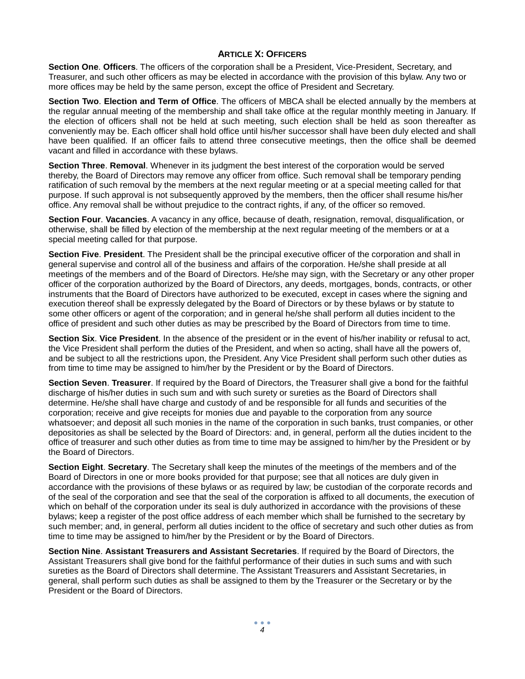#### **ARTICLE X: OFFICERS**

**Section One**. **Officers**. The officers of the corporation shall be a President, Vice-President, Secretary, and Treasurer, and such other officers as may be elected in accordance with the provision of this bylaw. Any two or more offices may be held by the same person, except the office of President and Secretary.

**Section Two**. **Election and Term of Office**. The officers of MBCA shall be elected annually by the members at the regular annual meeting of the membership and shall take office at the regular monthly meeting in January. If the election of officers shall not be held at such meeting, such election shall be held as soon thereafter as conveniently may be. Each officer shall hold office until his/her successor shall have been duly elected and shall have been qualified. If an officer fails to attend three consecutive meetings, then the office shall be deemed vacant and filled in accordance with these bylaws.

**Section Three**. **Removal**. Whenever in its judgment the best interest of the corporation would be served thereby, the Board of Directors may remove any officer from office. Such removal shall be temporary pending ratification of such removal by the members at the next regular meeting or at a special meeting called for that purpose. If such approval is not subsequently approved by the members, then the officer shall resume his/her office. Any removal shall be without prejudice to the contract rights, if any, of the officer so removed.

**Section Four**. **Vacancies**. A vacancy in any office, because of death, resignation, removal, disqualification, or otherwise, shall be filled by election of the membership at the next regular meeting of the members or at a special meeting called for that purpose.

**Section Five**. **President**. The President shall be the principal executive officer of the corporation and shall in general supervise and control all of the business and affairs of the corporation. He/she shall preside at all meetings of the members and of the Board of Directors. He/she may sign, with the Secretary or any other proper officer of the corporation authorized by the Board of Directors, any deeds, mortgages, bonds, contracts, or other instruments that the Board of Directors have authorized to be executed, except in cases where the signing and execution thereof shall be expressly delegated by the Board of Directors or by these bylaws or by statute to some other officers or agent of the corporation; and in general he/she shall perform all duties incident to the office of president and such other duties as may be prescribed by the Board of Directors from time to time.

**Section Six**. **Vice President**. In the absence of the president or in the event of his/her inability or refusal to act, the Vice President shall perform the duties of the President, and when so acting, shall have all the powers of, and be subject to all the restrictions upon, the President. Any Vice President shall perform such other duties as from time to time may be assigned to him/her by the President or by the Board of Directors.

**Section Seven**. **Treasurer**. If required by the Board of Directors, the Treasurer shall give a bond for the faithful discharge of his/her duties in such sum and with such surety or sureties as the Board of Directors shall determine. He/she shall have charge and custody of and be responsible for all funds and securities of the corporation; receive and give receipts for monies due and payable to the corporation from any source whatsoever; and deposit all such monies in the name of the corporation in such banks, trust companies, or other depositories as shall be selected by the Board of Directors: and, in general, perform all the duties incident to the office of treasurer and such other duties as from time to time may be assigned to him/her by the President or by the Board of Directors.

**Section Eight**. **Secretary**. The Secretary shall keep the minutes of the meetings of the members and of the Board of Directors in one or more books provided for that purpose; see that all notices are duly given in accordance with the provisions of these bylaws or as required by law; be custodian of the corporate records and of the seal of the corporation and see that the seal of the corporation is affixed to all documents, the execution of which on behalf of the corporation under its seal is duly authorized in accordance with the provisions of these bylaws; keep a register of the post office address of each member which shall be furnished to the secretary by such member; and, in general, perform all duties incident to the office of secretary and such other duties as from time to time may be assigned to him/her by the President or by the Board of Directors.

**Section Nine**. **Assistant Treasurers and Assistant Secretaries**. If required by the Board of Directors, the Assistant Treasurers shall give bond for the faithful performance of their duties in such sums and with such sureties as the Board of Directors shall determine. The Assistant Treasurers and Assistant Secretaries, in general, shall perform such duties as shall be assigned to them by the Treasurer or the Secretary or by the President or the Board of Directors.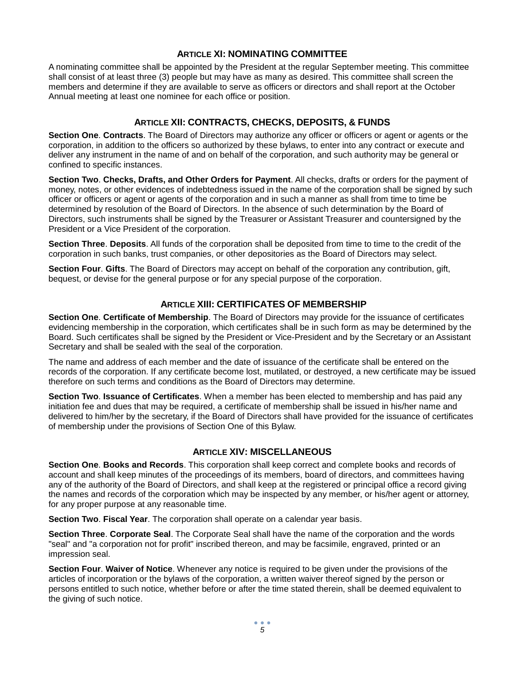## **ARTICLE XI: NOMINATING COMMITTEE**

A nominating committee shall be appointed by the President at the regular September meeting. This committee shall consist of at least three (3) people but may have as many as desired. This committee shall screen the members and determine if they are available to serve as officers or directors and shall report at the October Annual meeting at least one nominee for each office or position.

# **ARTICLE XII: CONTRACTS, CHECKS, DEPOSITS, & FUNDS**

**Section One**. **Contracts**. The Board of Directors may authorize any officer or officers or agent or agents or the corporation, in addition to the officers so authorized by these bylaws, to enter into any contract or execute and deliver any instrument in the name of and on behalf of the corporation, and such authority may be general or confined to specific instances.

**Section Two**. **Checks, Drafts, and Other Orders for Payment**. All checks, drafts or orders for the payment of money, notes, or other evidences of indebtedness issued in the name of the corporation shall be signed by such officer or officers or agent or agents of the corporation and in such a manner as shall from time to time be determined by resolution of the Board of Directors. In the absence of such determination by the Board of Directors, such instruments shall be signed by the Treasurer or Assistant Treasurer and countersigned by the President or a Vice President of the corporation.

**Section Three**. **Deposits**. All funds of the corporation shall be deposited from time to time to the credit of the corporation in such banks, trust companies, or other depositories as the Board of Directors may select.

**Section Four**. **Gifts**. The Board of Directors may accept on behalf of the corporation any contribution, gift, bequest, or devise for the general purpose or for any special purpose of the corporation.

# **ARTICLE XIII: CERTIFICATES OF MEMBERSHIP**

**Section One**. **Certificate of Membership**. The Board of Directors may provide for the issuance of certificates evidencing membership in the corporation, which certificates shall be in such form as may be determined by the Board. Such certificates shall be signed by the President or Vice-President and by the Secretary or an Assistant Secretary and shall be sealed with the seal of the corporation.

The name and address of each member and the date of issuance of the certificate shall be entered on the records of the corporation. If any certificate become lost, mutilated, or destroyed, a new certificate may be issued therefore on such terms and conditions as the Board of Directors may determine.

**Section Two**. **Issuance of Certificates**. When a member has been elected to membership and has paid any initiation fee and dues that may be required, a certificate of membership shall be issued in his/her name and delivered to him/her by the secretary, if the Board of Directors shall have provided for the issuance of certificates of membership under the provisions of Section One of this Bylaw.

# **ARTICLE XIV: MISCELLANEOUS**

**Section One**. **Books and Records**. This corporation shall keep correct and complete books and records of account and shall keep minutes of the proceedings of its members, board of directors, and committees having any of the authority of the Board of Directors, and shall keep at the registered or principal office a record giving the names and records of the corporation which may be inspected by any member, or his/her agent or attorney, for any proper purpose at any reasonable time.

**Section Two**. **Fiscal Year**. The corporation shall operate on a calendar year basis.

**Section Three**. **Corporate Seal**. The Corporate Seal shall have the name of the corporation and the words "seal" and "a corporation not for profit" inscribed thereon, and may be facsimile, engraved, printed or an impression seal.

**Section Four**. **Waiver of Notice**. Whenever any notice is required to be given under the provisions of the articles of incorporation or the bylaws of the corporation, a written waiver thereof signed by the person or persons entitled to such notice, whether before or after the time stated therein, shall be deemed equivalent to the giving of such notice.